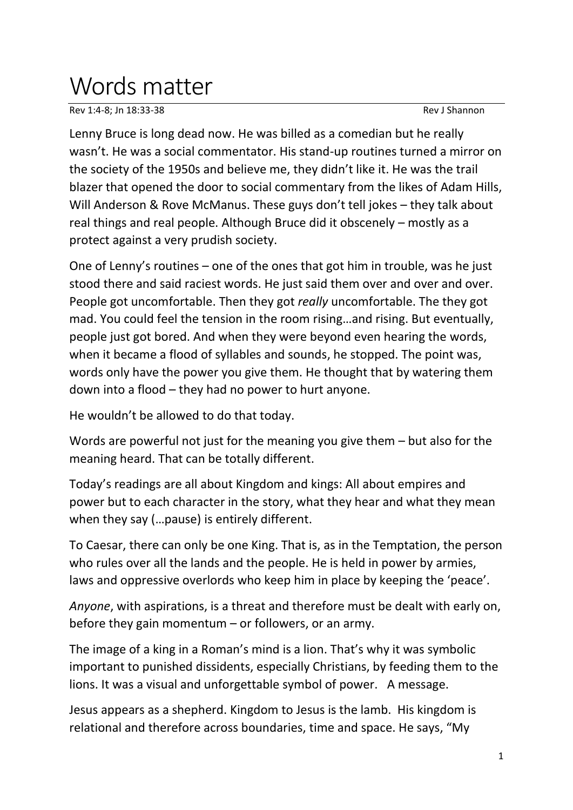## Words matter

Rev 1:4-8; Jn 18:33-38 Rev J Shannon

Lenny Bruce is long dead now. He was billed as a comedian but he really wasn't. He was a social commentator. His stand-up routines turned a mirror on the society of the 1950s and believe me, they didn't like it. He was the trail blazer that opened the door to social commentary from the likes of Adam Hills, Will Anderson & Rove McManus. These guys don't tell jokes – they talk about real things and real people. Although Bruce did it obscenely – mostly as a protect against a very prudish society.

One of Lenny's routines – one of the ones that got him in trouble, was he just stood there and said raciest words. He just said them over and over and over. People got uncomfortable. Then they got *really* uncomfortable. The they got mad. You could feel the tension in the room rising…and rising. But eventually, people just got bored. And when they were beyond even hearing the words, when it became a flood of syllables and sounds, he stopped. The point was, words only have the power you give them. He thought that by watering them down into a flood – they had no power to hurt anyone.

He wouldn't be allowed to do that today.

Words are powerful not just for the meaning you give them – but also for the meaning heard. That can be totally different.

Today's readings are all about Kingdom and kings: All about empires and power but to each character in the story, what they hear and what they mean when they say (…pause) is entirely different.

To Caesar, there can only be one King. That is, as in the Temptation, the person who rules over all the lands and the people. He is held in power by armies, laws and oppressive overlords who keep him in place by keeping the 'peace'.

*Anyone*, with aspirations, is a threat and therefore must be dealt with early on, before they gain momentum – or followers, or an army.

The image of a king in a Roman's mind is a lion. That's why it was symbolic important to punished dissidents, especially Christians, by feeding them to the lions. It was a visual and unforgettable symbol of power. A message.

Jesus appears as a shepherd. Kingdom to Jesus is the lamb. His kingdom is relational and therefore across boundaries, time and space. He says, "My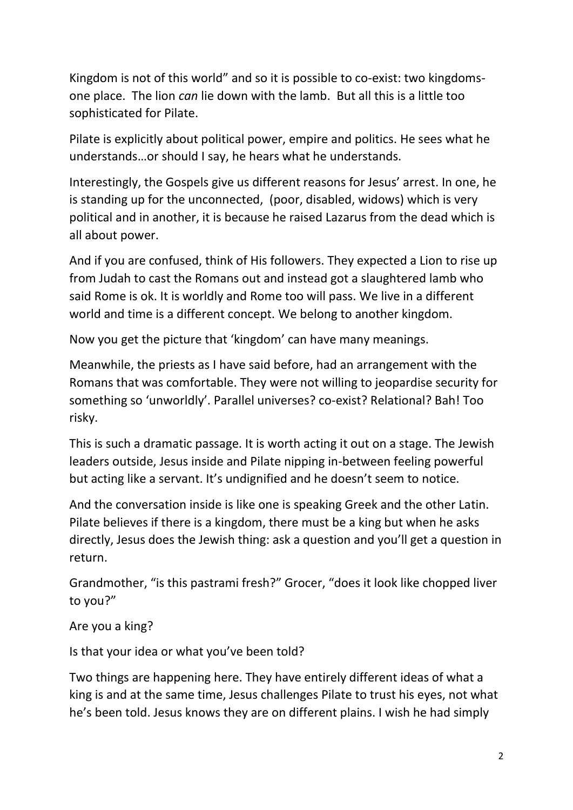Kingdom is not of this world" and so it is possible to co-exist: two kingdomsone place. The lion *can* lie down with the lamb. But all this is a little too sophisticated for Pilate.

Pilate is explicitly about political power, empire and politics. He sees what he understands…or should I say, he hears what he understands.

Interestingly, the Gospels give us different reasons for Jesus' arrest. In one, he is standing up for the unconnected, (poor, disabled, widows) which is very political and in another, it is because he raised Lazarus from the dead which is all about power.

And if you are confused, think of His followers. They expected a Lion to rise up from Judah to cast the Romans out and instead got a slaughtered lamb who said Rome is ok. It is worldly and Rome too will pass. We live in a different world and time is a different concept. We belong to another kingdom.

Now you get the picture that 'kingdom' can have many meanings.

Meanwhile, the priests as I have said before, had an arrangement with the Romans that was comfortable. They were not willing to jeopardise security for something so 'unworldly'. Parallel universes? co-exist? Relational? Bah! Too risky.

This is such a dramatic passage. It is worth acting it out on a stage. The Jewish leaders outside, Jesus inside and Pilate nipping in-between feeling powerful but acting like a servant. It's undignified and he doesn't seem to notice.

And the conversation inside is like one is speaking Greek and the other Latin. Pilate believes if there is a kingdom, there must be a king but when he asks directly, Jesus does the Jewish thing: ask a question and you'll get a question in return.

Grandmother, "is this pastrami fresh?" Grocer, "does it look like chopped liver to you?"

Are you a king?

Is that your idea or what you've been told?

Two things are happening here. They have entirely different ideas of what a king is and at the same time, Jesus challenges Pilate to trust his eyes, not what he's been told. Jesus knows they are on different plains. I wish he had simply